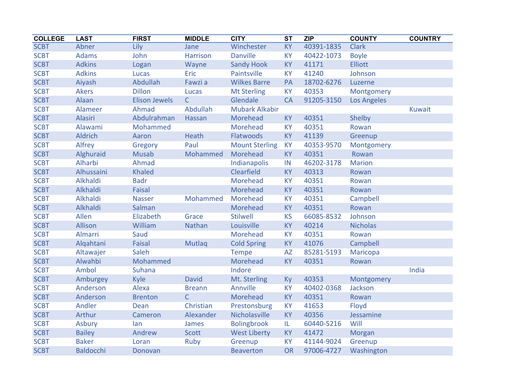| <b>COLLEGE</b> | <b>LAST</b>      | <b>FIRST</b>         | <b>MIDDLE</b>   | <b>CITY</b>           | <b>ST</b> | <b>ZIP</b> | <b>COUNTY</b>      | <b>COUNTRY</b> |
|----------------|------------------|----------------------|-----------------|-----------------------|-----------|------------|--------------------|----------------|
| <b>SCBT</b>    | Abner            | Lily                 | Jane            | Winchester            | <b>KY</b> | 40391-1835 | <b>Clark</b>       |                |
| <b>SCBT</b>    | <b>Adams</b>     | John                 | <b>Harrison</b> | <b>Danville</b>       | <b>KY</b> | 40422-1073 | <b>Boyle</b>       |                |
| <b>SCBT</b>    | <b>Adkins</b>    | Logan                | Wayne           | <b>Sandy Hook</b>     | <b>KY</b> | 41171      | <b>Elliott</b>     |                |
| <b>SCBT</b>    | <b>Adkins</b>    | Lucas                | Eric            | Paintsville           | <b>KY</b> | 41240      | Johnson            |                |
| <b>SCBT</b>    | Aiyash           | Abdullah             | Fawzi a         | <b>Wilkes Barre</b>   | PA        | 18702-6276 | Luzerne            |                |
| <b>SCBT</b>    | <b>Akers</b>     | <b>Dillon</b>        | <b>Lucas</b>    | <b>Mt Sterling</b>    | <b>KY</b> | 40353      | Montgomery         |                |
| <b>SCBT</b>    | Alaan            | <b>Elison Jewels</b> | $\mathsf{C}$    | Glendale              | <b>CA</b> | 91205-3150 | <b>Los Angeles</b> |                |
| <b>SCBT</b>    | Alameer          | Ahmad                | Abdullah        | <b>Mubark Alkabir</b> |           |            |                    | <b>Kuwait</b>  |
| <b>SCBT</b>    | Alasiri          | Abdulrahman          | Hassan          | Morehead              | <b>KY</b> | 40351      | Shelby             |                |
| <b>SCBT</b>    | Alawami          | Mohammed             |                 | Morehead              | <b>KY</b> | 40351      | Rowan              |                |
| <b>SCBT</b>    | Aldrich          | Aaron                | <b>Heath</b>    | Flatwoods             | <b>KY</b> | 41139      | Greenup            |                |
| <b>SCBT</b>    | Alfrey           | Gregory              | Paul            | <b>Mount Sterling</b> | <b>KY</b> | 40353-9570 | Montgomery         |                |
| <b>SCBT</b>    | Alghuraid        | <b>Musab</b>         | Mohammed        | Morehead              | <b>KY</b> | 40351      | Rowan              |                |
| <b>SCBT</b>    | Alharbi          | Ahmad                |                 | Indianapolis          | IN        | 46202-3178 | <b>Marion</b>      |                |
| <b>SCBT</b>    | Alhussaini       | <b>Khaled</b>        |                 | Clearfield            | <b>KY</b> | 40313      | Rowan              |                |
| <b>SCBT</b>    | Alkhaldi         | <b>Badr</b>          |                 | Morehead              | <b>KY</b> | 40351      | Rowan              |                |
| <b>SCBT</b>    | Alkhaldi         | <b>Faisal</b>        |                 | Morehead              | <b>KY</b> | 40351      | Rowan              |                |
| <b>SCBT</b>    | Alkhaldi         | <b>Nasser</b>        | Mohammed        | Morehead              | <b>KY</b> | 40351      | Campbell           |                |
| <b>SCBT</b>    | Alkhaldi         | Salman               |                 | Morehead              | <b>KY</b> | 40351      | Rowan              |                |
| <b>SCBT</b>    | Allen            | Elizabeth            | Grace           | <b>Stilwell</b>       | <b>KS</b> | 66085-8532 | Johnson            |                |
| <b>SCBT</b>    | Allison          | William              | <b>Nathan</b>   | Louisville            | <b>KY</b> | 40214      | <b>Nicholas</b>    |                |
| <b>SCBT</b>    | Almarri          | Saud                 |                 | Morehead              | <b>KY</b> | 40351      | Rowan              |                |
| <b>SCBT</b>    | Algahtani        | <b>Faisal</b>        | Mutlag          | <b>Cold Spring</b>    | <b>KY</b> | 41076      | Campbell           |                |
| <b>SCBT</b>    | Altawajer        | Saleh                |                 | <b>Tempe</b>          | <b>AZ</b> | 85281-5193 | Maricopa           |                |
| <b>SCBT</b>    | Alwahbi          | Mohammed             |                 | Morehead              | <b>KY</b> | 40351      | Rowan              |                |
| <b>SCBT</b>    | Ambol            | <b>Suhana</b>        |                 | Indore                |           |            |                    | India          |
| <b>SCBT</b>    | Amburgey         | Kyle                 | <b>David</b>    | Mt. Sterling          | <b>Ky</b> | 40353      | Montgomery         |                |
| <b>SCBT</b>    | Anderson         | Alexa                | <b>Breann</b>   | Annville              | <b>KY</b> | 40402-0368 | Jackson            |                |
| <b>SCBT</b>    | Anderson         | <b>Brenton</b>       | C               | Morehead              | <b>KY</b> | 40351      | Rowan              |                |
| <b>SCBT</b>    | Andler           | Dean                 | Christian       | Prestonsburg          | <b>KY</b> | 41653      | Floyd              |                |
| <b>SCBT</b>    | Arthur           | Cameron              | Alexander       | Nicholasville         | <b>KY</b> | 40356      | Jessamine          |                |
| <b>SCBT</b>    | <b>Asbury</b>    | lan                  | James           | <b>Bolingbrook</b>    | IL.       | 60440-5216 | Will               |                |
| <b>SCBT</b>    | <b>Bailey</b>    | Andrew               | <b>Scott</b>    | <b>West Liberty</b>   | <b>KY</b> | 41472      | Morgan             |                |
| <b>SCBT</b>    | <b>Baker</b>     | Loran                | Ruby            | Greenup               | <b>KY</b> | 41144-9024 | Greenup            |                |
| <b>SCBT</b>    | <b>Baldocchi</b> | Donovan              |                 | <b>Beaverton</b>      | <b>OR</b> | 97006-4727 | Washington         |                |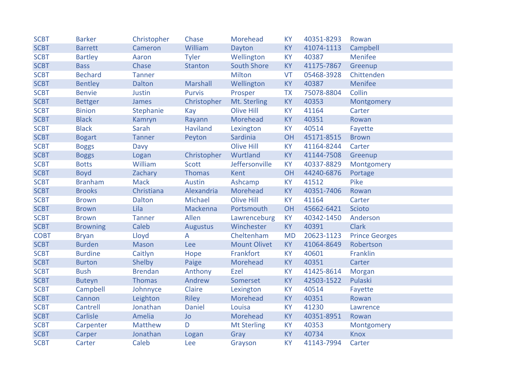| <b>SCBT</b> | <b>Barker</b>   | Christopher    | Chase           | Morehead            | <b>KY</b> | 40351-8293 | Rowan                 |
|-------------|-----------------|----------------|-----------------|---------------------|-----------|------------|-----------------------|
| <b>SCBT</b> | <b>Barrett</b>  | Cameron        | William         | Dayton              | <b>KY</b> | 41074-1113 | Campbell              |
| <b>SCBT</b> | <b>Bartley</b>  | Aaron          | <b>Tyler</b>    | Wellington          | <b>KY</b> | 40387      | Menifee               |
| <b>SCBT</b> | <b>Bass</b>     | Chase          | <b>Stanton</b>  | <b>South Shore</b>  | <b>KY</b> | 41175-7867 | Greenup               |
| <b>SCBT</b> | <b>Bechard</b>  | <b>Tanner</b>  |                 | Milton              | <b>VT</b> | 05468-3928 | Chittenden            |
| <b>SCBT</b> | <b>Bentley</b>  | <b>Dalton</b>  | <b>Marshall</b> | Wellington          | <b>KY</b> | 40387      | Menifee               |
| <b>SCBT</b> | <b>Benvie</b>   | Justin         | <b>Purvis</b>   | Prosper             | <b>TX</b> | 75078-8804 | Collin                |
| <b>SCBT</b> | <b>Bettger</b>  | James          | Christopher     | Mt. Sterling        | <b>KY</b> | 40353      | Montgomery            |
| <b>SCBT</b> | <b>Binion</b>   | Stephanie      | Kay             | <b>Olive Hill</b>   | <b>KY</b> | 41164      | Carter                |
| <b>SCBT</b> | <b>Black</b>    | Kamryn         | Rayann          | Morehead            | <b>KY</b> | 40351      | Rowan                 |
| <b>SCBT</b> | <b>Black</b>    | Sarah          | <b>Haviland</b> | Lexington           | <b>KY</b> | 40514      | Fayette               |
| <b>SCBT</b> | <b>Bogart</b>   | <b>Tanner</b>  | Peyton          | Sardinia            | OH        | 45171-8515 | <b>Brown</b>          |
| <b>SCBT</b> | <b>Boggs</b>    | Davy           |                 | <b>Olive Hill</b>   | <b>KY</b> | 41164-8244 | Carter                |
| <b>SCBT</b> | <b>Boggs</b>    | Logan          | Christopher     | Wurtland            | <b>KY</b> | 41144-7508 | Greenup               |
| <b>SCBT</b> | <b>Botts</b>    | William        | <b>Scott</b>    | Jeffersonville      | <b>KY</b> | 40337-8829 | Montgomery            |
| <b>SCBT</b> | <b>Boyd</b>     | Zachary        | <b>Thomas</b>   | Kent                | OH        | 44240-6876 | Portage               |
| <b>SCBT</b> | <b>Branham</b>  | <b>Mack</b>    | Austin          | Ashcamp             | <b>KY</b> | 41512      | Pike                  |
| <b>SCBT</b> | <b>Brooks</b>   | Christiana     | Alexandria      | Morehead            | <b>KY</b> | 40351-7406 | Rowan                 |
| <b>SCBT</b> | <b>Brown</b>    | Dalton         | Michael         | <b>Olive Hill</b>   | <b>KY</b> | 41164      | Carter                |
| <b>SCBT</b> | <b>Brown</b>    | Lila           | Mackenna        | Portsmouth          | OH        | 45662-6421 | Scioto                |
| <b>SCBT</b> | <b>Brown</b>    | <b>Tanner</b>  | Allen           | Lawrenceburg        | <b>KY</b> | 40342-1450 | Anderson              |
| <b>SCBT</b> | <b>Browning</b> | Caleb          | <b>Augustus</b> | Winchester          | <b>KY</b> | 40391      | <b>Clark</b>          |
| <b>COBT</b> | <b>Bryan</b>    | Lloyd          | A               | Cheltenham          | <b>MD</b> | 20623-1123 | <b>Prince Georges</b> |
| <b>SCBT</b> | <b>Burden</b>   | <b>Mason</b>   | Lee             | <b>Mount Olivet</b> | <b>KY</b> | 41064-8649 | Robertson             |
| <b>SCBT</b> | <b>Burdine</b>  | Caitlyn        | Hope            | Frankfort           | <b>KY</b> | 40601      | Franklin              |
| <b>SCBT</b> | <b>Burton</b>   | Shelby         | Paige           | Morehead            | <b>KY</b> | 40351      | Carter                |
| <b>SCBT</b> | <b>Bush</b>     | <b>Brendan</b> | Anthony         | Ezel                | <b>KY</b> | 41425-8614 | Morgan                |
| <b>SCBT</b> | <b>Buteyn</b>   | <b>Thomas</b>  | Andrew          | Somerset            | <b>KY</b> | 42503-1522 | Pulaski               |
| <b>SCBT</b> | Campbell        | Johnnyce       | Claire          | Lexington           | <b>KY</b> | 40514      | Fayette               |
| <b>SCBT</b> | Cannon          | Leighton       | <b>Riley</b>    | Morehead            | <b>KY</b> | 40351      | Rowan                 |
| <b>SCBT</b> | Cantrell        | Jonathan       | <b>Daniel</b>   | Louisa              | <b>KY</b> | 41230      | Lawrence              |
| <b>SCBT</b> | Carlisle        | Amelia         | <b>Jo</b>       | Morehead            | <b>KY</b> | 40351-8951 | Rowan                 |
| <b>SCBT</b> | Carpenter       | <b>Matthew</b> | D               | <b>Mt Sterling</b>  | <b>KY</b> | 40353      | Montgomery            |
| <b>SCBT</b> | Carper          | Jonathan       | Logan           | Gray                | <b>KY</b> | 40734      | Knox                  |
| <b>SCBT</b> | Carter          | Caleb          | Lee             | Grayson             | <b>KY</b> | 41143-7994 | Carter                |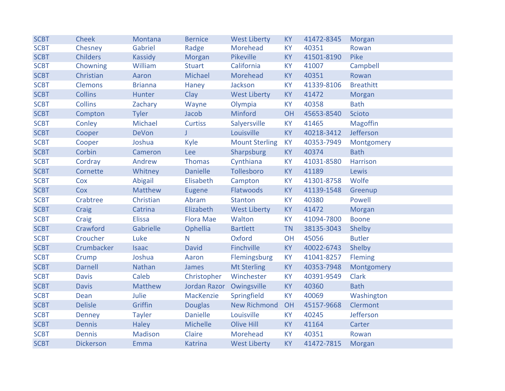| <b>SCBT</b> | <b>Cheek</b>     | Montana        | <b>Bernice</b>      | <b>West Liberty</b>   | <b>KY</b> | 41472-8345 | Morgan           |
|-------------|------------------|----------------|---------------------|-----------------------|-----------|------------|------------------|
| <b>SCBT</b> | Chesney          | Gabriel        | Radge               | Morehead              | <b>KY</b> | 40351      | Rowan            |
| <b>SCBT</b> | <b>Childers</b>  | Kassidy        | Morgan              | Pikeville             | <b>KY</b> | 41501-8190 | Pike             |
| <b>SCBT</b> | Chowning         | William        | <b>Stuart</b>       | California            | <b>KY</b> | 41007      | Campbell         |
| <b>SCBT</b> | Christian        | Aaron          | Michael             | Morehead              | <b>KY</b> | 40351      | Rowan            |
| <b>SCBT</b> | <b>Clemons</b>   | <b>Brianna</b> | Haney               | Jackson               | <b>KY</b> | 41339-8106 | <b>Breathitt</b> |
| <b>SCBT</b> | <b>Collins</b>   | Hunter         | Clay                | <b>West Liberty</b>   | <b>KY</b> | 41472      | Morgan           |
| <b>SCBT</b> | <b>Collins</b>   | Zachary        | Wayne               | Olympia               | <b>KY</b> | 40358      | <b>Bath</b>      |
| <b>SCBT</b> | Compton          | <b>Tyler</b>   | Jacob               | Minford               | OH        | 45653-8540 | Scioto           |
| <b>SCBT</b> | Conley           | Michael        | <b>Curtiss</b>      | Salyersville          | <b>KY</b> | 41465      | <b>Magoffin</b>  |
| <b>SCBT</b> | Cooper           | <b>DeVon</b>   | T                   | Louisville            | <b>KY</b> | 40218-3412 | Jefferson        |
| <b>SCBT</b> | Cooper           | Joshua         | Kyle                | <b>Mount Sterling</b> | <b>KY</b> | 40353-7949 | Montgomery       |
| <b>SCBT</b> | Corbin           | Cameron        | Lee                 | Sharpsburg            | <b>KY</b> | 40374      | <b>Bath</b>      |
| <b>SCBT</b> | Cordray          | Andrew         | <b>Thomas</b>       | Cynthiana             | <b>KY</b> | 41031-8580 | Harrison         |
| <b>SCBT</b> | Cornette         | Whitney        | <b>Danielle</b>     | Tollesboro            | <b>KY</b> | 41189      | Lewis            |
| <b>SCBT</b> | Cox              | Abigail        | Elisabeth           | Campton               | <b>KY</b> | 41301-8758 | Wolfe            |
| <b>SCBT</b> | Cox              | <b>Matthew</b> | Eugene              | Flatwoods             | <b>KY</b> | 41139-1548 | Greenup          |
| <b>SCBT</b> | Crabtree         | Christian      | Abram               | <b>Stanton</b>        | <b>KY</b> | 40380      | Powell           |
| <b>SCBT</b> | Craig            | Catrina        | Elizabeth           | <b>West Liberty</b>   | <b>KY</b> | 41472      | Morgan           |
| <b>SCBT</b> | Craig            | <b>Elissa</b>  | <b>Flora Mae</b>    | Walton                | <b>KY</b> | 41094-7800 | <b>Boone</b>     |
| <b>SCBT</b> | Crawford         | Gabrielle      | Ophellia            | <b>Bartlett</b>       | <b>TN</b> | 38135-3043 | Shelby           |
| <b>SCBT</b> | Croucher         | Luke           | N.                  | Oxford                | OH        | 45056      | <b>Butler</b>    |
| <b>SCBT</b> | Crumbacker       | <b>Isaac</b>   | <b>David</b>        | Finchville            | <b>KY</b> | 40022-6743 | Shelby           |
| <b>SCBT</b> | Crump            | Joshua         | Aaron               | Flemingsburg          | <b>KY</b> | 41041-8257 | Fleming          |
| <b>SCBT</b> | <b>Darnell</b>   | <b>Nathan</b>  | James               | <b>Mt Sterling</b>    | <b>KY</b> | 40353-7948 | Montgomery       |
| <b>SCBT</b> | <b>Davis</b>     | Caleb          | Christopher         | Winchester            | <b>KY</b> | 40391-9549 | <b>Clark</b>     |
| <b>SCBT</b> | <b>Davis</b>     | <b>Matthew</b> | <b>Jordan Razor</b> | Owingsville           | <b>KY</b> | 40360      | <b>Bath</b>      |
| <b>SCBT</b> | Dean             | Julie          | MacKenzie           | Springfield           | <b>KY</b> | 40069      | Washington       |
| <b>SCBT</b> | <b>Delisle</b>   | Griffin        | <b>Douglas</b>      | <b>New Richmond</b>   | OH        | 45157-9668 | Clermont         |
| <b>SCBT</b> | <b>Denney</b>    | <b>Tayler</b>  | <b>Danielle</b>     | Louisville            | <b>KY</b> | 40245      | Jefferson        |
| <b>SCBT</b> | <b>Dennis</b>    | <b>Haley</b>   | Michelle            | Olive Hill            | <b>KY</b> | 41164      | Carter           |
| <b>SCBT</b> | <b>Dennis</b>    | Madison        | Claire              | Morehead              | <b>KY</b> | 40351      | Rowan            |
| <b>SCBT</b> | <b>Dickerson</b> | Emma           | <b>Katrina</b>      | <b>West Liberty</b>   | <b>KY</b> | 41472-7815 | Morgan           |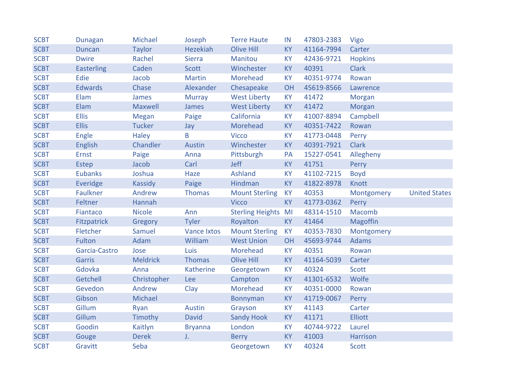| <b>SCBT</b> | <b>Dunagan</b>    | Michael         | Joseph             | <b>Terre Haute</b>      | IN        | 47803-2383 | Vigo            |                      |
|-------------|-------------------|-----------------|--------------------|-------------------------|-----------|------------|-----------------|----------------------|
| <b>SCBT</b> | <b>Duncan</b>     | <b>Taylor</b>   | <b>Hezekiah</b>    | <b>Olive Hill</b>       | <b>KY</b> | 41164-7994 | Carter          |                      |
| <b>SCBT</b> | <b>Dwire</b>      | Rachel          | <b>Sierra</b>      | Manitou                 | <b>KY</b> | 42436-9721 | <b>Hopkins</b>  |                      |
| <b>SCBT</b> | <b>Easterling</b> | Caden           | <b>Scott</b>       | Winchester              | <b>KY</b> | 40391      | <b>Clark</b>    |                      |
| <b>SCBT</b> | Edie              | Jacob           | <b>Martin</b>      | Morehead                | <b>KY</b> | 40351-9774 | Rowan           |                      |
| <b>SCBT</b> | <b>Edwards</b>    | Chase           | Alexander          | Chesapeake              | OH        | 45619-8566 | Lawrence        |                      |
| <b>SCBT</b> | Elam              | James           | <b>Murray</b>      | <b>West Liberty</b>     | <b>KY</b> | 41472      | Morgan          |                      |
| <b>SCBT</b> | Elam              | Maxwell         | James              | <b>West Liberty</b>     | <b>KY</b> | 41472      | Morgan          |                      |
| <b>SCBT</b> | <b>Ellis</b>      | Megan           | Paige              | California              | <b>KY</b> | 41007-8894 | Campbell        |                      |
| <b>SCBT</b> | <b>Ellis</b>      | <b>Tucker</b>   | Jay                | Morehead                | <b>KY</b> | 40351-7422 | Rowan           |                      |
| <b>SCBT</b> | Engle             | <b>Haley</b>    | B                  | <b>Vicco</b>            | <b>KY</b> | 41773-0448 | Perry           |                      |
| <b>SCBT</b> | <b>English</b>    | Chandler        | Austin             | Winchester              | <b>KY</b> | 40391-7921 | <b>Clark</b>    |                      |
| <b>SCBT</b> | Ernst             | Paige           | Anna               | Pittsburgh              | PA        | 15227-0541 | Allegheny       |                      |
| <b>SCBT</b> | Estep             | Jacob           | Carl               | Jeff                    | <b>KY</b> | 41751      | Perry           |                      |
| <b>SCBT</b> | <b>Eubanks</b>    | Joshua          | Haze               | Ashland                 | <b>KY</b> | 41102-7215 | <b>Boyd</b>     |                      |
| <b>SCBT</b> | Everidge          | Kassidy         | Paige              | Hindman                 | <b>KY</b> | 41822-8978 | Knott           |                      |
| <b>SCBT</b> | Faulkner          | Andrew          | <b>Thomas</b>      | <b>Mount Sterling</b>   | <b>KY</b> | 40353      | Montgomery      | <b>United States</b> |
| <b>SCBT</b> | Feltner           | Hannah          |                    | <b>Vicco</b>            | <b>KY</b> | 41773-0362 | Perry           |                      |
| <b>SCBT</b> | Fiantaco          | <b>Nicole</b>   | Ann                | <b>Sterling Heights</b> | MI        | 48314-1510 | Macomb          |                      |
| <b>SCBT</b> | Fitzpatrick       | Gregory         | <b>Tyler</b>       | Royalton                | <b>KY</b> | 41464      | <b>Magoffin</b> |                      |
| <b>SCBT</b> | Fletcher          | Samuel          | <b>Vance Ixtos</b> | <b>Mount Sterling</b>   | <b>KY</b> | 40353-7830 | Montgomery      |                      |
| <b>SCBT</b> | Fulton            | Adam            | William            | <b>West Union</b>       | OH        | 45693-9744 | <b>Adams</b>    |                      |
| <b>SCBT</b> | Garcia-Castro     | Jose            | Luis               | Morehead                | <b>KY</b> | 40351      | Rowan           |                      |
| <b>SCBT</b> | Garris            | <b>Meldrick</b> | <b>Thomas</b>      | <b>Olive Hill</b>       | <b>KY</b> | 41164-5039 | Carter          |                      |
| <b>SCBT</b> | Gdovka            | Anna            | <b>Katherine</b>   | Georgetown              | <b>KY</b> | 40324      | Scott           |                      |
| <b>SCBT</b> | Getchell          | Christopher     | Lee                | Campton                 | <b>KY</b> | 41301-6532 | Wolfe           |                      |
| <b>SCBT</b> | Gevedon           | Andrew          | Clay               | Morehead                | <b>KY</b> | 40351-0000 | Rowan           |                      |
| <b>SCBT</b> | Gibson            | Michael         |                    | Bonnyman                | <b>KY</b> | 41719-0067 | Perry           |                      |
| <b>SCBT</b> | Gillum            | Ryan            | Austin             | Grayson                 | <b>KY</b> | 41143      | Carter          |                      |
| <b>SCBT</b> | Gillum            | Timothy         | <b>David</b>       | <b>Sandy Hook</b>       | <b>KY</b> | 41171      | <b>Elliott</b>  |                      |
| <b>SCBT</b> | Goodin            | Kaitlyn         | <b>Bryanna</b>     | London                  | <b>KY</b> | 40744-9722 | Laurel          |                      |
| <b>SCBT</b> | Gouge             | <b>Derek</b>    | $J_{\star}$        | <b>Berry</b>            | <b>KY</b> | 41003      | <b>Harrison</b> |                      |
| <b>SCBT</b> | Gravitt           | Seba            |                    | Georgetown              | <b>KY</b> | 40324      | <b>Scott</b>    |                      |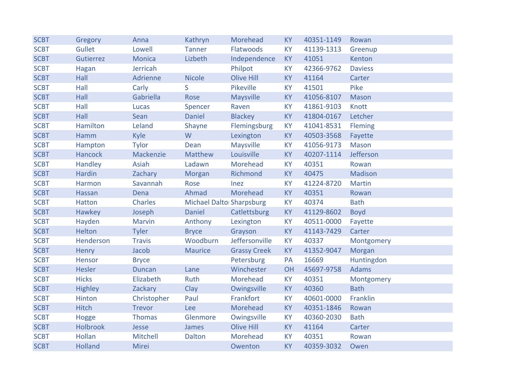| <b>SCBT</b> | Gregory         | Anna          | Kathryn                         | Morehead            | <b>KY</b> | 40351-1149 | Rowan          |
|-------------|-----------------|---------------|---------------------------------|---------------------|-----------|------------|----------------|
| <b>SCBT</b> | Gullet          | Lowell        | <b>Tanner</b>                   | Flatwoods           | <b>KY</b> | 41139-1313 | Greenup        |
| <b>SCBT</b> | Gutierrez       | <b>Monica</b> | Lizbeth                         | Independence        | <b>KY</b> | 41051      | Kenton         |
| <b>SCBT</b> | Hagan           | Jerricah      |                                 | Philpot             | <b>KY</b> | 42366-9762 | <b>Daviess</b> |
| <b>SCBT</b> | Hall            | Adrienne      | <b>Nicole</b>                   | <b>Olive Hill</b>   | <b>KY</b> | 41164      | Carter         |
| <b>SCBT</b> | Hall            | Carly         | S                               | Pikeville           | <b>KY</b> | 41501      | Pike           |
| <b>SCBT</b> | Hall            | Gabriella     | Rose                            | Maysville           | <b>KY</b> | 41056-8107 | <b>Mason</b>   |
| <b>SCBT</b> | Hall            | <b>Lucas</b>  | Spencer                         | Raven               | <b>KY</b> | 41861-9103 | Knott          |
| <b>SCBT</b> | Hall            | Sean          | <b>Daniel</b>                   | <b>Blackey</b>      | <b>KY</b> | 41804-0167 | Letcher        |
| <b>SCBT</b> | <b>Hamilton</b> | Leland        | Shayne                          | Flemingsburg        | <b>KY</b> | 41041-8531 | Fleming        |
| <b>SCBT</b> | Hamm            | Kyle          | W                               | Lexington           | <b>KY</b> | 40503-3568 | Fayette        |
| <b>SCBT</b> | Hampton         | <b>Tylor</b>  | Dean                            | <b>Maysville</b>    | <b>KY</b> | 41056-9173 | Mason          |
| <b>SCBT</b> | <b>Hancock</b>  | Mackenzie     | <b>Matthew</b>                  | Louisville          | <b>KY</b> | 40207-1114 | Jefferson      |
| <b>SCBT</b> | Handley         | Asiah         | Ladawn                          | Morehead            | <b>KY</b> | 40351      | Rowan          |
| <b>SCBT</b> | Hardin          | Zachary       | Morgan                          | Richmond            | <b>KY</b> | 40475      | <b>Madison</b> |
| <b>SCBT</b> | Harmon          | Savannah      | Rose                            | Inez                | <b>KY</b> | 41224-8720 | <b>Martin</b>  |
| <b>SCBT</b> | Hassan          | Dena          | Ahmad                           | Morehead            | <b>KY</b> | 40351      | Rowan          |
| <b>SCBT</b> | <b>Hatton</b>   | Charles       | <b>Michael Dalto Sharpsburg</b> |                     | <b>KY</b> | 40374      | <b>Bath</b>    |
| <b>SCBT</b> | Hawkey          | Joseph        | <b>Daniel</b>                   | Catlettsburg        | <b>KY</b> | 41129-8602 | <b>Boyd</b>    |
| <b>SCBT</b> | Hayden          | <b>Marvin</b> | Anthony                         | Lexington           | <b>KY</b> | 40511-0000 | Fayette        |
| <b>SCBT</b> | Helton          | <b>Tyler</b>  | <b>Bryce</b>                    | Grayson             | <b>KY</b> | 41143-7429 | Carter         |
| <b>SCBT</b> | Henderson       | <b>Travis</b> | Woodburn                        | Jeffersonville      | <b>KY</b> | 40337      | Montgomery     |
| <b>SCBT</b> | Henry           | Jacob         | <b>Maurice</b>                  | <b>Grassy Creek</b> | <b>KY</b> | 41352-9047 | Morgan         |
| <b>SCBT</b> | Hensor          | <b>Bryce</b>  |                                 | Petersburg          | PA        | 16669      | Huntingdon     |
| <b>SCBT</b> | <b>Hesler</b>   | <b>Duncan</b> | Lane                            | Winchester          | OH        | 45697-9758 | <b>Adams</b>   |
| <b>SCBT</b> | <b>Hicks</b>    | Elizabeth     | Ruth                            | Morehead            | <b>KY</b> | 40351      | Montgomery     |
| <b>SCBT</b> | <b>Highley</b>  | Zackary       | Clay                            | Owingsville         | <b>KY</b> | 40360      | <b>Bath</b>    |
| <b>SCBT</b> | Hinton          | Christopher   | Paul                            | Frankfort           | <b>KY</b> | 40601-0000 | Franklin       |
| <b>SCBT</b> | <b>Hitch</b>    | <b>Trevor</b> | Lee                             | Morehead            | <b>KY</b> | 40351-1846 | Rowan          |
| <b>SCBT</b> | Hogge           | <b>Thomas</b> | Glenmore                        | Owingsville         | <b>KY</b> | 40360-2030 | <b>Bath</b>    |
| <b>SCBT</b> | <b>Holbrook</b> | Jesse         | James                           | <b>Olive Hill</b>   | <b>KY</b> | 41164      | Carter         |
| <b>SCBT</b> | <b>Hollan</b>   | Mitchell      | <b>Dalton</b>                   | Morehead            | <b>KY</b> | 40351      | Rowan          |
| <b>SCBT</b> | <b>Holland</b>  | Mirei         |                                 | Owenton             | <b>KY</b> | 40359-3032 | Owen           |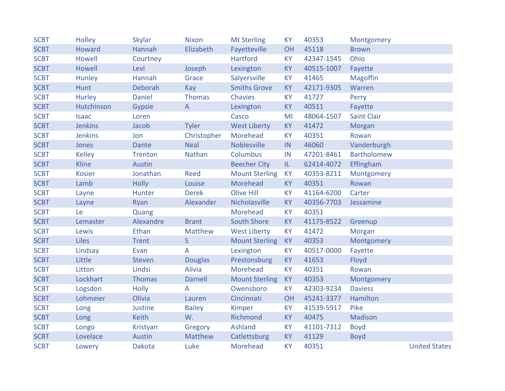| <b>SCBT</b> | Holley         | <b>Skylar</b>  | <b>Nixon</b>   | <b>Mt Sterling</b>    | <b>KY</b> | 40353      | Montgomery         |                      |
|-------------|----------------|----------------|----------------|-----------------------|-----------|------------|--------------------|----------------------|
| <b>SCBT</b> | Howard         | Hannah         | Elizabeth      | Fayetteville          | OH        | 45118      | <b>Brown</b>       |                      |
| <b>SCBT</b> | Howell         | Courtney       |                | <b>Hartford</b>       | <b>KY</b> | 42347-1545 | Ohio               |                      |
| <b>SCBT</b> | <b>Howell</b>  | Levi           | Joseph         | Lexington             | <b>KY</b> | 40515-1007 | Fayette            |                      |
| <b>SCBT</b> | Hunley         | Hannah         | Grace          | Salyersville          | <b>KY</b> | 41465      | <b>Magoffin</b>    |                      |
| <b>SCBT</b> | <b>Hunt</b>    | Deborah        | Kay            | <b>Smiths Grove</b>   | <b>KY</b> | 42171-9305 | Warren             |                      |
| <b>SCBT</b> | <b>Hurley</b>  | <b>Daniel</b>  | <b>Thomas</b>  | <b>Chavies</b>        | <b>KY</b> | 41727      | Perry              |                      |
| <b>SCBT</b> | Hutchinson     | <b>Gypsie</b>  | $\overline{A}$ | Lexington             | <b>KY</b> | 40511      | Fayette            |                      |
| <b>SCBT</b> | <b>Isaac</b>   | Loren          |                | Casco                 | MI        | 48064-1507 | <b>Saint Clair</b> |                      |
| <b>SCBT</b> | <b>Jenkins</b> | Jacob          | <b>Tyler</b>   | <b>West Liberty</b>   | <b>KY</b> | 41472      | Morgan             |                      |
| <b>SCBT</b> | <b>Jenkins</b> | Jon            | Christopher    | Morehead              | <b>KY</b> | 40351      | Rowan              |                      |
| <b>SCBT</b> | Jones          | <b>Dante</b>   | <b>Neal</b>    | <b>Noblesville</b>    | IN        | 46060      | Vanderburgh        |                      |
| <b>SCBT</b> | <b>Kelley</b>  | <b>Trenton</b> | Nathan         | Columbus              | IN        | 47201-8461 | <b>Bartholomew</b> |                      |
| <b>SCBT</b> | <b>Kline</b>   | Austin         |                | <b>Beecher City</b>   | IL.       | 62414-4072 | Effingham          |                      |
| <b>SCBT</b> | <b>Kosier</b>  | Jonathan       | <b>Reed</b>    | <b>Mount Sterling</b> | <b>KY</b> | 40353-8211 | Montgomery         |                      |
| <b>SCBT</b> | Lamb           | <b>Holly</b>   | Louise         | Morehead              | <b>KY</b> | 40351      | Rowan              |                      |
| <b>SCBT</b> | Layne          | Hunter         | <b>Derek</b>   | <b>Olive Hill</b>     | <b>KY</b> | 41164-6200 | Carter             |                      |
| <b>SCBT</b> | Layne          | Ryan           | Alexander      | Nicholasville         | <b>KY</b> | 40356-7703 | Jessamine          |                      |
| <b>SCBT</b> | Le             | Quang          |                | Morehead              | <b>KY</b> | 40351      |                    |                      |
| <b>SCBT</b> | Lemaster       | Alexandre      | <b>Brant</b>   | <b>South Shore</b>    | <b>KY</b> | 41175-8522 | Greenup            |                      |
| <b>SCBT</b> | Lewis          | <b>Ethan</b>   | <b>Matthew</b> | <b>West Liberty</b>   | <b>KY</b> | 41472      | Morgan             |                      |
| <b>SCBT</b> | <b>Liles</b>   | <b>Trent</b>   | S              | <b>Mount Sterling</b> | <b>KY</b> | 40353      | Montgomery         |                      |
| <b>SCBT</b> | Lindsay        | Evan           | A              | Lexington             | <b>KY</b> | 40517-0000 | Fayette            |                      |
| <b>SCBT</b> | Little         | <b>Steven</b>  | <b>Douglas</b> | Prestonsburg          | <b>KY</b> | 41653      | Floyd              |                      |
| <b>SCBT</b> | Litton         | Lindsi         | <b>Alivia</b>  | Morehead              | <b>KY</b> | 40351      | Rowan              |                      |
| <b>SCBT</b> | Lockhart       | <b>Thomas</b>  | <b>Darnell</b> | <b>Mount Sterling</b> | <b>KY</b> | 40353      | Montgomery         |                      |
| <b>SCBT</b> | Logsdon        | <b>Holly</b>   | A              | Owensboro             | <b>KY</b> | 42303-9234 | <b>Daviess</b>     |                      |
| <b>SCBT</b> | Lohmeier       | Olivia         | Lauren         | Cincinnati            | OH        | 45241-3377 | Hamilton           |                      |
| <b>SCBT</b> | Long           | Justine        | <b>Bailey</b>  | Kimper                | <b>KY</b> | 41539-5917 | Pike               |                      |
| <b>SCBT</b> | Long           | <b>Keith</b>   | W.             | Richmond              | <b>KY</b> | 40475      | <b>Madison</b>     |                      |
| <b>SCBT</b> | Longo          | Kristyan       | Gregory        | Ashland               | <b>KY</b> | 41101-7312 | <b>Boyd</b>        |                      |
| <b>SCBT</b> | Lovelace       | Austin         | <b>Matthew</b> | Catlettsburg          | <b>KY</b> | 41129      | <b>Boyd</b>        |                      |
| <b>SCBT</b> | Lowery         | <b>Dakota</b>  | Luke           | Morehead              | <b>KY</b> | 40351      |                    | <b>United States</b> |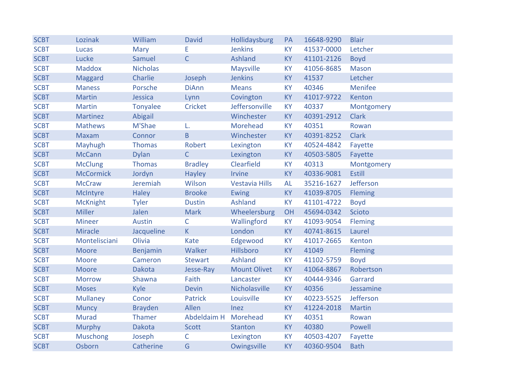| <b>SCBT</b> | Lozinak          | William         | <b>David</b>         | Hollidaysburg         | PA        | 16648-9290 | <b>Blair</b>   |
|-------------|------------------|-----------------|----------------------|-----------------------|-----------|------------|----------------|
| <b>SCBT</b> | <b>Lucas</b>     | Mary            | E                    | <b>Jenkins</b>        | <b>KY</b> | 41537-0000 | Letcher        |
| <b>SCBT</b> | Lucke            | Samuel          | $\overline{C}$       | Ashland               | <b>KY</b> | 41101-2126 | <b>Boyd</b>    |
| <b>SCBT</b> | <b>Maddox</b>    | <b>Nicholas</b> |                      | Maysville             | <b>KY</b> | 41056-8685 | <b>Mason</b>   |
| <b>SCBT</b> | Maggard          | Charlie         | Joseph               | <b>Jenkins</b>        | <b>KY</b> | 41537      | Letcher        |
| <b>SCBT</b> | <b>Maness</b>    | Porsche         | <b>DiAnn</b>         | <b>Means</b>          | <b>KY</b> | 40346      | <b>Menifee</b> |
| <b>SCBT</b> | <b>Martin</b>    | Jessica         | Lynn                 | Covington             | <b>KY</b> | 41017-9722 | Kenton         |
| <b>SCBT</b> | <b>Martin</b>    | <b>Tonyalee</b> | Cricket              | Jeffersonville        | <b>KY</b> | 40337      | Montgomery     |
| <b>SCBT</b> | <b>Martinez</b>  | Abigail         |                      | Winchester            | <b>KY</b> | 40391-2912 | <b>Clark</b>   |
| <b>SCBT</b> | <b>Mathews</b>   | M'Shae          | L.                   | Morehead              | <b>KY</b> | 40351      | Rowan          |
| <b>SCBT</b> | <b>Maxam</b>     | Connor          | B                    | Winchester            | <b>KY</b> | 40391-8252 | <b>Clark</b>   |
| <b>SCBT</b> | Mayhugh          | <b>Thomas</b>   | Robert               | Lexington             | <b>KY</b> | 40524-4842 | Fayette        |
| <b>SCBT</b> | <b>McCann</b>    | <b>Dylan</b>    | $\overline{C}$       | Lexington             | <b>KY</b> | 40503-5805 | Fayette        |
| <b>SCBT</b> | <b>McClung</b>   | <b>Thomas</b>   | <b>Bradley</b>       | Clearfield            | KY        | 40313      | Montgomery     |
| <b>SCBT</b> | <b>McCormick</b> | Jordyn          | <b>Hayley</b>        | Irvine                | <b>KY</b> | 40336-9081 | <b>Estill</b>  |
| <b>SCBT</b> | <b>McCraw</b>    | Jeremiah        | Wilson               | <b>Vestavia Hills</b> | <b>AL</b> | 35216-1627 | Jefferson      |
| <b>SCBT</b> | McIntyre         | <b>Haley</b>    | <b>Brooke</b>        | Ewing                 | <b>KY</b> | 41039-8705 | Fleming        |
| <b>SCBT</b> | <b>McKnight</b>  | <b>Tyler</b>    | <b>Dustin</b>        | <b>Ashland</b>        | <b>KY</b> | 41101-4722 | <b>Boyd</b>    |
| <b>SCBT</b> | <b>Miller</b>    | Jalen           | <b>Mark</b>          | Wheelersburg          | OH        | 45694-0342 | Scioto         |
| <b>SCBT</b> | <b>Mineer</b>    | <b>Austin</b>   | C                    | Wallingford           | <b>KY</b> | 41093-9054 | Fleming        |
| <b>SCBT</b> | <b>Miracle</b>   | Jacqueline      | K.                   | London                | <b>KY</b> | 40741-8615 | Laurel         |
| <b>SCBT</b> | Montelisciani    | Olivia          | <b>Kate</b>          | Edgewood              | <b>KY</b> | 41017-2665 | Kenton         |
| <b>SCBT</b> | <b>Moore</b>     | Benjamin        | Walker               | Hillsboro             | <b>KY</b> | 41049      | <b>Fleming</b> |
| <b>SCBT</b> | <b>Moore</b>     | Cameron         | <b>Stewart</b>       | <b>Ashland</b>        | <b>KY</b> | 41102-5759 | <b>Boyd</b>    |
| <b>SCBT</b> | <b>Moore</b>     | <b>Dakota</b>   | Jesse-Ray            | <b>Mount Olivet</b>   | <b>KY</b> | 41064-8867 | Robertson      |
| <b>SCBT</b> | <b>Morrow</b>    | Shawna          | Faith                | Lancaster             | <b>KY</b> | 40444-9346 | Garrard        |
| <b>SCBT</b> | <b>Moses</b>     | Kyle            | <b>Devin</b>         | Nicholasville         | <b>KY</b> | 40356      | Jessamine      |
| <b>SCBT</b> | <b>Mullaney</b>  | Conor           | <b>Patrick</b>       | Louisville            | <b>KY</b> | 40223-5525 | Jefferson      |
| <b>SCBT</b> | <b>Muncy</b>     | <b>Brayden</b>  | Allen                | Inez                  | <b>KY</b> | 41224-2018 | <b>Martin</b>  |
| <b>SCBT</b> | <b>Murad</b>     | Thamer          | Abdeldaim H Morehead |                       | <b>KY</b> | 40351      | Rowan          |
| <b>SCBT</b> | Murphy           | <b>Dakota</b>   | <b>Scott</b>         | <b>Stanton</b>        | <b>KY</b> | 40380      | Powell         |
| <b>SCBT</b> | <b>Muschong</b>  | Joseph          | C                    | Lexington             | <b>KY</b> | 40503-4207 | Fayette        |
| <b>SCBT</b> | Osborn           | Catherine       | G                    | Owingsville           | <b>KY</b> | 40360-9504 | <b>Bath</b>    |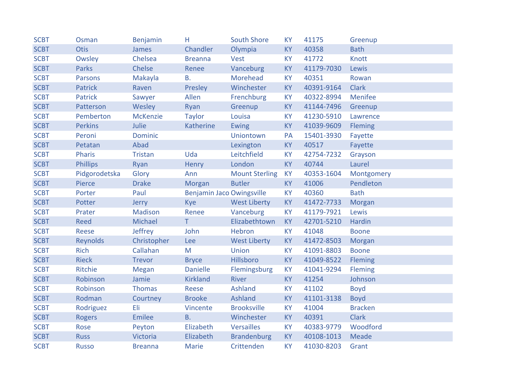| <b>SCBT</b> | Osman           | Benjamin        | н                                | <b>South Shore</b>    | <b>KY</b> | 41175      | Greenup        |
|-------------|-----------------|-----------------|----------------------------------|-----------------------|-----------|------------|----------------|
| <b>SCBT</b> | <b>Otis</b>     | James           | Chandler                         | Olympia               | <b>KY</b> | 40358      | <b>Bath</b>    |
| <b>SCBT</b> | Owsley          | Chelsea         | <b>Breanna</b>                   | <b>Vest</b>           | <b>KY</b> | 41772      | Knott          |
| <b>SCBT</b> | Parks           | Chelse          | Renee                            | Vanceburg             | <b>KY</b> | 41179-7030 | Lewis          |
| <b>SCBT</b> | <b>Parsons</b>  | Makayla         | <b>B.</b>                        | Morehead              | <b>KY</b> | 40351      | Rowan          |
| <b>SCBT</b> | <b>Patrick</b>  | Raven           | Presley                          | Winchester            | <b>KY</b> | 40391-9164 | <b>Clark</b>   |
| <b>SCBT</b> | <b>Patrick</b>  | Sawyer          | Allen                            | Frenchburg            | <b>KY</b> | 40322-8994 | Menifee        |
| <b>SCBT</b> | Patterson       | Wesley          | Ryan                             | Greenup               | <b>KY</b> | 41144-7496 | Greenup        |
| <b>SCBT</b> | Pemberton       | <b>McKenzie</b> | <b>Taylor</b>                    | Louisa                | <b>KY</b> | 41230-5910 | Lawrence       |
| <b>SCBT</b> | <b>Perkins</b>  | Julie           | Katherine                        | <b>Ewing</b>          | <b>KY</b> | 41039-9609 | Fleming        |
| <b>SCBT</b> | Peroni          | <b>Dominic</b>  |                                  | Uniontown             | PA        | 15401-3930 | Fayette        |
| <b>SCBT</b> | Petatan         | Abad            |                                  | Lexington             | <b>KY</b> | 40517      | Fayette        |
| <b>SCBT</b> | <b>Pharis</b>   | <b>Tristan</b>  | Uda                              | Leitchfield           | <b>KY</b> | 42754-7232 | Grayson        |
| <b>SCBT</b> | <b>Phillips</b> | Ryan            | Henry                            | London                | <b>KY</b> | 40744      | Laurel         |
| <b>SCBT</b> | Pidgorodetska   | Glory           | Ann                              | <b>Mount Sterling</b> | <b>KY</b> | 40353-1604 | Montgomery     |
| <b>SCBT</b> | Pierce          | <b>Drake</b>    | Morgan                           | <b>Butler</b>         | <b>KY</b> | 41006      | Pendleton      |
| <b>SCBT</b> | Porter          | Paul            | <b>Benjamin Jaco Owingsville</b> |                       | <b>KY</b> | 40360      | <b>Bath</b>    |
| <b>SCBT</b> | Potter          | Jerry           | <b>Kye</b>                       | <b>West Liberty</b>   | <b>KY</b> | 41472-7733 | Morgan         |
| <b>SCBT</b> | Prater          | <b>Madison</b>  | Renee                            | Vanceburg             | <b>KY</b> | 41179-7921 | Lewis          |
| <b>SCBT</b> | <b>Reed</b>     | Michael         | T.                               | Elizabethtown         | <b>KY</b> | 42701-5210 | Hardin         |
| <b>SCBT</b> | <b>Reese</b>    | Jeffrey         | John                             | Hebron                | <b>KY</b> | 41048      | <b>Boone</b>   |
| <b>SCBT</b> | Reynolds        | Christopher     | Lee                              | <b>West Liberty</b>   | <b>KY</b> | 41472-8503 | Morgan         |
| <b>SCBT</b> | <b>Rich</b>     | Callahan        | M                                | Union                 | <b>KY</b> | 41091-8803 | <b>Boone</b>   |
| <b>SCBT</b> | <b>Rieck</b>    | <b>Trevor</b>   | <b>Bryce</b>                     | Hillsboro             | <b>KY</b> | 41049-8522 | Fleming        |
| <b>SCBT</b> | Ritchie         | <b>Megan</b>    | <b>Danielle</b>                  | Flemingsburg          | <b>KY</b> | 41041-9294 | Fleming        |
| <b>SCBT</b> | Robinson        | Jamie           | <b>Kirkland</b>                  | River                 | <b>KY</b> | 41254      | Johnson        |
| <b>SCBT</b> | Robinson        | <b>Thomas</b>   | Reese                            | Ashland               | <b>KY</b> | 41102      | <b>Boyd</b>    |
| <b>SCBT</b> | Rodman          | Courtney        | <b>Brooke</b>                    | Ashland               | <b>KY</b> | 41101-3138 | <b>Boyd</b>    |
| <b>SCBT</b> | Rodriguez       | Eli             | Vincente                         | <b>Brooksville</b>    | <b>KY</b> | 41004      | <b>Bracken</b> |
| <b>SCBT</b> | <b>Rogers</b>   | Emilee          | <b>B.</b>                        | Winchester            | <b>KY</b> | 40391      | <b>Clark</b>   |
| <b>SCBT</b> | Rose            | Peyton          | Elizabeth                        | <b>Versailles</b>     | <b>KY</b> | 40383-9779 | Woodford       |
| <b>SCBT</b> | <b>Russ</b>     | <b>Victoria</b> | Elizabeth                        | <b>Brandenburg</b>    | <b>KY</b> | 40108-1013 | Meade          |
| <b>SCBT</b> | <b>Russo</b>    | <b>Breanna</b>  | Marie                            | Crittenden            | <b>KY</b> | 41030-8203 | Grant          |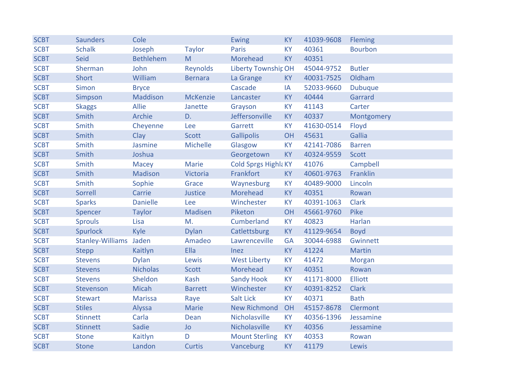| <b>SCBT</b> | <b>Saunders</b>        | Cole             |                 | <b>Ewing</b>                | <b>KY</b> | 41039-9608 | <b>Fleming</b> |
|-------------|------------------------|------------------|-----------------|-----------------------------|-----------|------------|----------------|
| <b>SCBT</b> | <b>Schalk</b>          | Joseph           | <b>Taylor</b>   | <b>Paris</b>                | <b>KY</b> | 40361      | <b>Bourbon</b> |
| <b>SCBT</b> | Seid                   | <b>Bethlehem</b> | M               | Morehead                    | <b>KY</b> | 40351      |                |
| <b>SCBT</b> | Sherman                | John             | <b>Reynolds</b> | <b>Liberty Township OH</b>  |           | 45044-9752 | <b>Butler</b>  |
| <b>SCBT</b> | Short                  | William          | <b>Bernara</b>  | La Grange                   | <b>KY</b> | 40031-7525 | Oldham         |
| <b>SCBT</b> | Simon                  | <b>Bryce</b>     |                 | Cascade                     | IA        | 52033-9660 | <b>Dubuque</b> |
| <b>SCBT</b> | Simpson                | Maddison         | <b>McKenzie</b> | Lancaster                   | <b>KY</b> | 40444      | Garrard        |
| <b>SCBT</b> | <b>Skaggs</b>          | <b>Allie</b>     | Janette         | Grayson                     | <b>KY</b> | 41143      | Carter         |
| <b>SCBT</b> | Smith                  | Archie           | D.              | Jeffersonville              | <b>KY</b> | 40337      | Montgomery     |
| <b>SCBT</b> | Smith                  | Cheyenne         | Lee             | Garrett                     | <b>KY</b> | 41630-0514 | Floyd          |
| <b>SCBT</b> | Smith                  | Clay             | <b>Scott</b>    | <b>Gallipolis</b>           | OH        | 45631      | Gallia         |
| <b>SCBT</b> | Smith                  | Jasmine          | Michelle        | Glasgow                     | <b>KY</b> | 42141-7086 | <b>Barren</b>  |
| <b>SCBT</b> | Smith                  | Joshua           |                 | Georgetown                  | <b>KY</b> | 40324-9559 | Scott          |
| <b>SCBT</b> | Smith                  | <b>Macey</b>     | <b>Marie</b>    | <b>Cold Sprgs Highla KY</b> |           | 41076      | Campbell       |
| <b>SCBT</b> | Smith                  | <b>Madison</b>   | Victoria        | Frankfort                   | <b>KY</b> | 40601-9763 | Franklin       |
| <b>SCBT</b> | Smith                  | Sophie           | Grace           | Waynesburg                  | <b>KY</b> | 40489-9000 | Lincoln        |
| <b>SCBT</b> | Sorrell                | Carrie           | Justice         | Morehead                    | <b>KY</b> | 40351      | Rowan          |
| <b>SCBT</b> | <b>Sparks</b>          | <b>Danielle</b>  | Lee             | Winchester                  | <b>KY</b> | 40391-1063 | <b>Clark</b>   |
| <b>SCBT</b> | Spencer                | <b>Taylor</b>    | Madisen         | Piketon                     | OH        | 45661-9760 | Pike           |
| <b>SCBT</b> | <b>Sprouls</b>         | Lisa             | M.              | Cumberland                  | <b>KY</b> | 40823      | Harlan         |
| <b>SCBT</b> | Spurlock               | Kyle             | <b>Dylan</b>    | Catlettsburg                | <b>KY</b> | 41129-9654 | <b>Boyd</b>    |
| <b>SCBT</b> | Stanley-Williams Jaden |                  | Amadeo          | Lawrenceville               | <b>GA</b> | 30044-6988 | Gwinnett       |
| <b>SCBT</b> | <b>Stepp</b>           | Kaitlyn          | Ella            | Inez                        | <b>KY</b> | 41224      | <b>Martin</b>  |
| <b>SCBT</b> | <b>Stevens</b>         | <b>Dylan</b>     | Lewis           | <b>West Liberty</b>         | <b>KY</b> | 41472      | Morgan         |
| <b>SCBT</b> | <b>Stevens</b>         | <b>Nicholas</b>  | <b>Scott</b>    | Morehead                    | <b>KY</b> | 40351      | Rowan          |
| <b>SCBT</b> | <b>Stevens</b>         | Sheldon          | Kash            | <b>Sandy Hook</b>           | <b>KY</b> | 41171-8000 | Elliott        |
| <b>SCBT</b> | Stevenson              | <b>Micah</b>     | <b>Barrett</b>  | Winchester                  | <b>KY</b> | 40391-8252 | <b>Clark</b>   |
| <b>SCBT</b> | <b>Stewart</b>         | <b>Marissa</b>   | Raye            | <b>Salt Lick</b>            | <b>KY</b> | 40371      | <b>Bath</b>    |
| <b>SCBT</b> | <b>Stiles</b>          | Alyssa           | <b>Marie</b>    | <b>New Richmond</b>         | OH        | 45157-8678 | Clermont       |
| <b>SCBT</b> | <b>Stinnett</b>        | Carla            | Dean            | Nicholasville               | <b>KY</b> | 40356-1396 | Jessamine      |
| <b>SCBT</b> | <b>Stinnett</b>        | Sadie            | <b>Jo</b>       | Nicholasville               | <b>KY</b> | 40356      | Jessamine      |
| <b>SCBT</b> | <b>Stone</b>           | Kaitlyn          | D               | <b>Mount Sterling</b>       | <b>KY</b> | 40353      | Rowan          |
| <b>SCBT</b> | <b>Stone</b>           | Landon           | <b>Curtis</b>   | Vanceburg                   | <b>KY</b> | 41179      | Lewis          |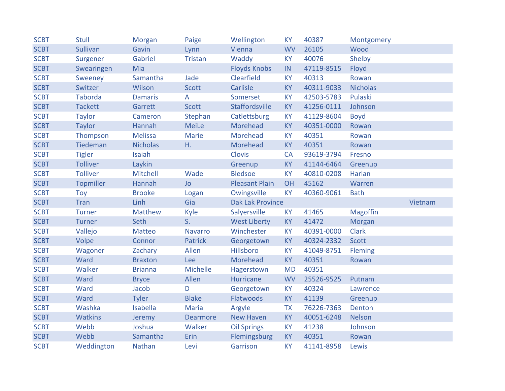| <b>SCBT</b> | <b>Stull</b>    | Morgan          | Paige           | Wellington              | <b>KY</b> | 40387      | Montgomery      |         |
|-------------|-----------------|-----------------|-----------------|-------------------------|-----------|------------|-----------------|---------|
| <b>SCBT</b> | <b>Sullivan</b> | Gavin           | Lynn            | Vienna                  | <b>WV</b> | 26105      | Wood            |         |
| <b>SCBT</b> | Surgener        | Gabriel         | <b>Tristan</b>  | Waddy                   | <b>KY</b> | 40076      | Shelby          |         |
| <b>SCBT</b> | Swearingen      | Mia             |                 | <b>Floyds Knobs</b>     | IN        | 47119-8515 | Floyd           |         |
| <b>SCBT</b> | Sweeney         | Samantha        | Jade            | Clearfield              | <b>KY</b> | 40313      | Rowan           |         |
| <b>SCBT</b> | Switzer         | Wilson          | <b>Scott</b>    | Carlisle                | <b>KY</b> | 40311-9033 | <b>Nicholas</b> |         |
| <b>SCBT</b> | <b>Taborda</b>  | <b>Damaris</b>  | A               | Somerset                | <b>KY</b> | 42503-5783 | Pulaski         |         |
| <b>SCBT</b> | <b>Tackett</b>  | Garrett         | <b>Scott</b>    | Staffordsville          | <b>KY</b> | 41256-0111 | Johnson         |         |
| <b>SCBT</b> | <b>Taylor</b>   | Cameron         | Stephan         | Catlettsburg            | <b>KY</b> | 41129-8604 | <b>Boyd</b>     |         |
| <b>SCBT</b> | <b>Taylor</b>   | Hannah          | <b>MeiLe</b>    | Morehead                | <b>KY</b> | 40351-0000 | Rowan           |         |
| <b>SCBT</b> | Thompson        | <b>Melissa</b>  | <b>Marie</b>    | Morehead                | <b>KY</b> | 40351      | Rowan           |         |
| <b>SCBT</b> | Tiedeman        | <b>Nicholas</b> | Η.              | Morehead                | <b>KY</b> | 40351      | Rowan           |         |
| <b>SCBT</b> | <b>Tigler</b>   | Isaiah          |                 | <b>Clovis</b>           | <b>CA</b> | 93619-3794 | Fresno          |         |
| <b>SCBT</b> | <b>Tolliver</b> | Laykin          |                 | Greenup                 | <b>KY</b> | 41144-6464 | Greenup         |         |
| <b>SCBT</b> | <b>Tolliver</b> | Mitchell        | Wade            | <b>Bledsoe</b>          | <b>KY</b> | 40810-0208 | Harlan          |         |
| <b>SCBT</b> | Topmiller       | Hannah          | <b>Jo</b>       | <b>Pleasant Plain</b>   | OH        | 45162      | Warren          |         |
| <b>SCBT</b> | Toy             | <b>Brooke</b>   | Logan           | Owingsville             | <b>KY</b> | 40360-9061 | <b>Bath</b>     |         |
| <b>SCBT</b> | Tran            | Linh            | Gia             | <b>Dak Lak Province</b> |           |            |                 | Vietnam |
| <b>SCBT</b> | <b>Turner</b>   | <b>Matthew</b>  | Kyle            | Salyersville            | <b>KY</b> | 41465      | <b>Magoffin</b> |         |
| <b>SCBT</b> | <b>Turner</b>   | Seth            | S.              | <b>West Liberty</b>     | <b>KY</b> | 41472      | Morgan          |         |
| <b>SCBT</b> | Vallejo         | <b>Matteo</b>   | <b>Navarro</b>  | Winchester              | <b>KY</b> | 40391-0000 | <b>Clark</b>    |         |
| <b>SCBT</b> | Volpe           | Connor          | <b>Patrick</b>  | Georgetown              | <b>KY</b> | 40324-2332 | <b>Scott</b>    |         |
| <b>SCBT</b> | Wagoner         | Zachary         | Allen           | Hillsboro               | <b>KY</b> | 41049-8751 | Fleming         |         |
| <b>SCBT</b> | Ward            | <b>Braxton</b>  | Lee             | Morehead                | <b>KY</b> | 40351      | Rowan           |         |
| <b>SCBT</b> | Walker          | <b>Brianna</b>  | Michelle        | Hagerstown              | <b>MD</b> | 40351      |                 |         |
| <b>SCBT</b> | Ward            | <b>Bryce</b>    | Allen           | <b>Hurricane</b>        | <b>WV</b> | 25526-9525 | Putnam          |         |
| <b>SCBT</b> | Ward            | Jacob           | D               | Georgetown              | <b>KY</b> | 40324      | Lawrence        |         |
| <b>SCBT</b> | Ward            | <b>Tyler</b>    | <b>Blake</b>    | Flatwoods               | <b>KY</b> | 41139      | Greenup         |         |
| <b>SCBT</b> | Washka          | Isabella        | <b>Maria</b>    | Argyle                  | <b>TX</b> | 76226-7363 | Denton          |         |
| <b>SCBT</b> | <b>Watkins</b>  | Jeremy          | <b>Dearmore</b> | <b>New Haven</b>        | <b>KY</b> | 40051-6248 | <b>Nelson</b>   |         |
| <b>SCBT</b> | Webb            | Joshua          | Walker          | <b>Oil Springs</b>      | <b>KY</b> | 41238      | Johnson         |         |
| <b>SCBT</b> | Webb            | Samantha        | Erin            | Flemingsburg            | <b>KY</b> | 40351      | Rowan           |         |
| <b>SCBT</b> | Weddington      | Nathan          | Levi            | Garrison                | <b>KY</b> | 41141-8958 | Lewis           |         |